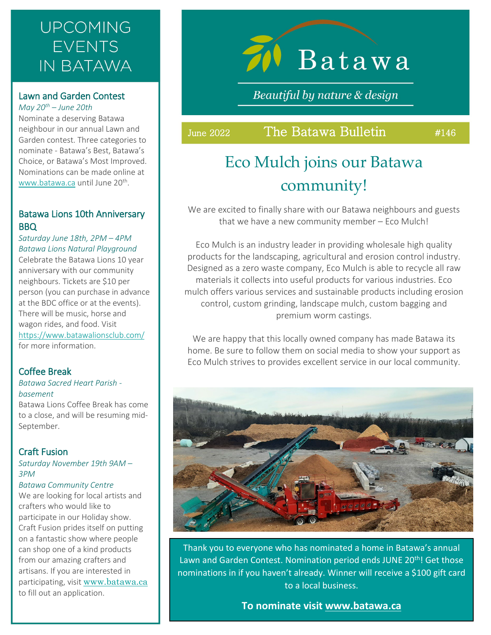## **UPCOMING EVENTS IN BATAWA**

### Lawn and Garden Contest *May 20th – June 20th*

Nominate a deserving Batawa neighbour in our annual Lawn and Garden contest. Three categories to nominate - Batawa's Best, Batawa's Choice, or Batawa's Most Improved. Nominations can be made online at [www.batawa.ca](http://www.batawa.ca/) until June 20<sup>th</sup>.

### Batawa Lions 10th Anniversary BBQ

*Saturday June 18th, 2PM – 4PM Batawa Lions Natural Playground* Celebrate the Batawa Lions 10 year anniversary with our community neighbours. Tickets are \$10 per person (you can purchase in advance at the BDC office or at the events). There will be music, horse and wagon rides, and food. Visit <https://www.batawalionsclub.com/> for more information.

### Coffee Break

#### *Batawa Sacred Heart Parish basement*

Batawa Lions Coffee Break has come to a close, and will be resuming mid-September.

### Craft Fusion

### *Saturday November 19th 9AM – 3PM*

### *Batawa Community Centre*

We are looking for local artists and crafters who would like to participate in our Holiday show. Craft Fusion prides itself on putting on a fantastic show where people can shop one of a kind products from our amazing crafters and artisans. If you are interested in participating, visit [www.batawa.ca](http://www.batawa.ca/) to fill out an application.

# $70$  Batawa

Beautiful by nature & design

Ĩ

## June 2022 The Batawa Bulletin #146

## Eco Mulch joins our Batawa community!

We are excited to finally share with our Batawa neighbours and guests that we have a new community member – Eco Mulch!

Eco Mulch is an industry leader in providing wholesale high quality products for the landscaping, agricultural and erosion control industry. Designed as a zero waste company, Eco Mulch is able to recycle all raw materials it collects into useful products for various industries. Eco mulch offers various services and sustainable products including erosion control, custom grinding, landscape mulch, custom bagging and premium worm castings.

We are happy that this locally owned company has made Batawa its home. Be sure to follow them on social media to show your support as Eco Mulch strives to provides excellent service in our local community.



Thank you to everyone who has nominated a home in Batawa's annual Lawn and Garden Contest. Nomination period ends JUNE 20<sup>th</sup>! Get those nominations in if you haven't already. Winner will receive a \$100 gift card to a local business.

**To nominate visit www.batawa.ca**